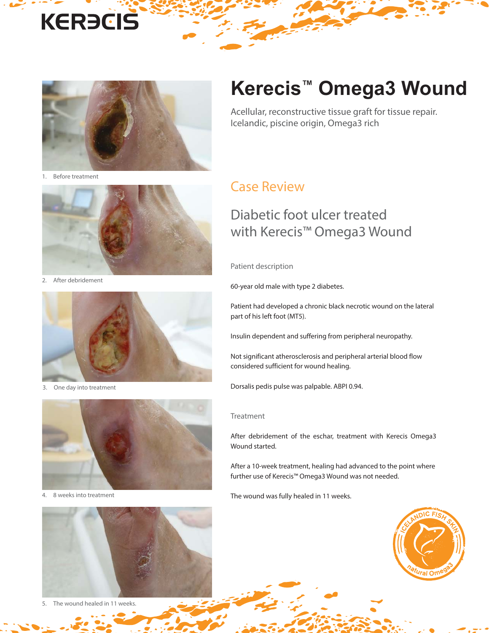# **KERECIS**



1. Before treatment



2. After debridement



3. One day into treatment



4. 8 weeks into treatment



5. The wound healed in 11 weeks.

## **Kerecis™ Omega3 Wound**

Acellular, reconstructive tissue graft for tissue repair. Icelandic, piscine origin, Omega3 rich

#### Case Review

### Diabetic foot ulcer treated with Kerecis™ Omega3 Wound

Patient description

60-year old male with type 2 diabetes.

Patient had developed a chronic black necrotic wound on the lateral part of his left foot (MT5).

Insulin dependent and suffering from peripheral neuropathy.

Not significant atherosclerosis and peripheral arterial blood flow considered sufficient for wound healing.

Dorsalis pedis pulse was palpable. ABPI 0.94.

#### Treatment

After debridement of the eschar, treatment with Kerecis Omega3 Wound started.

After a 10-week treatment, healing had advanced to the point where further use of Kerecis™ Omega3 Wound was not needed.

The wound was fully healed in 11 weeks.